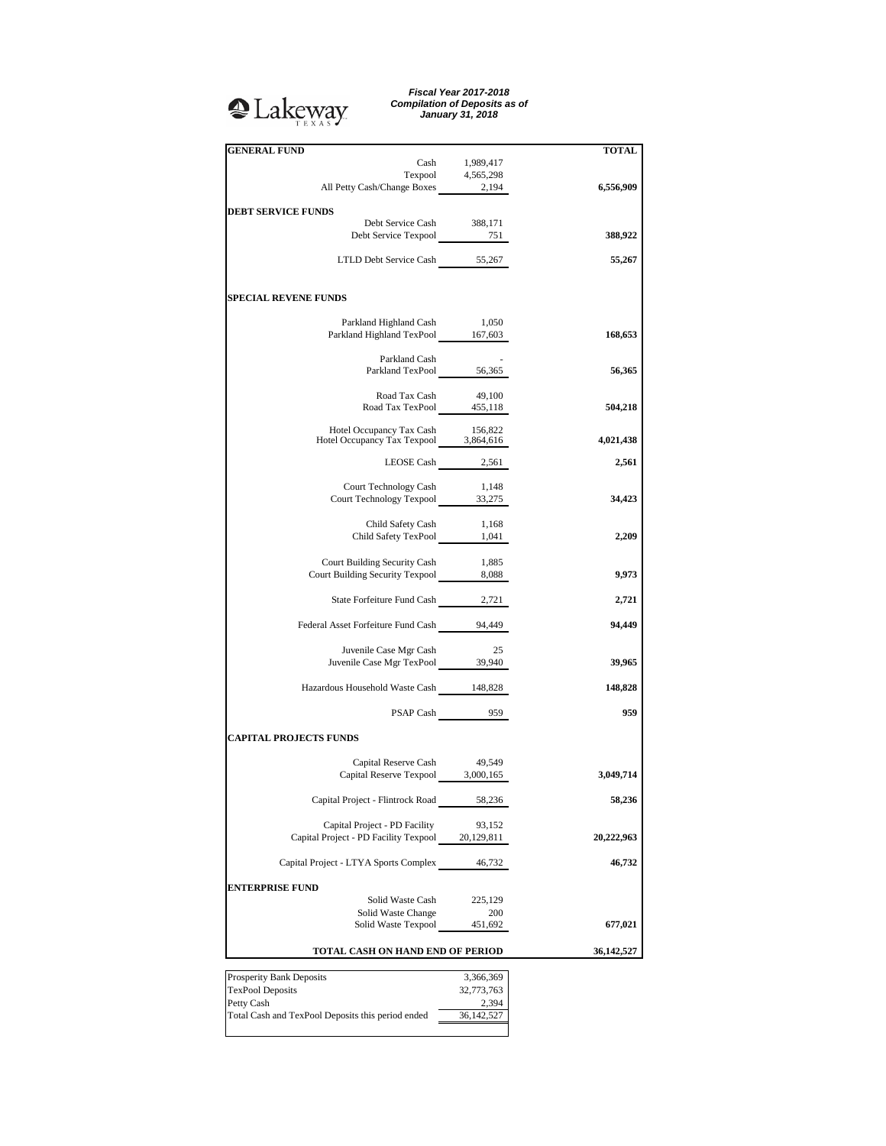## **Q**Lakeway

*Fiscal Year 2017-2018 Compilation of Deposits as of January 31, 2018*

| <b>GENERAL FUND</b>                                                                                                               |                  | <b>TOTAL</b> |
|-----------------------------------------------------------------------------------------------------------------------------------|------------------|--------------|
|                                                                                                                                   | Cash 1,989,417   |              |
| $\begin{tabular}{c} \textbf{Terpool} & \textbf{4,565,298} \\ \textbf{All Petty Cash/Change Boxes} & \textbf{2,194} \end{tabular}$ |                  |              |
|                                                                                                                                   |                  | 6,556,909    |
| <b>DEBT SERVICE FUNDS</b>                                                                                                         |                  |              |
| Debt Service Cash 388,171                                                                                                         |                  |              |
| Debt Service Texpool 751                                                                                                          |                  | 388,922      |
| LTLD Debt Service Cash 55,267                                                                                                     |                  | 55,267       |
|                                                                                                                                   |                  |              |
| <b>SPECIAL REVENE FUNDS</b>                                                                                                       |                  |              |
| Parkland Highland Cash                                                                                                            | 1,050            |              |
| Parkland Highland TexPool 167,603                                                                                                 |                  | 168,653      |
| Parkland Cash                                                                                                                     |                  |              |
| Parkland TexPool 56,365                                                                                                           |                  | 56,365       |
|                                                                                                                                   |                  |              |
| Road Tax Cash 49,100<br>Road Tax TexPool 455,118                                                                                  |                  | 504,218      |
|                                                                                                                                   |                  |              |
| Hotel Occupancy Tax Cash 156,822<br>Hotel Occupancy Tax Texpool 3,864,616                                                         |                  | 4,021,438    |
|                                                                                                                                   |                  |              |
|                                                                                                                                   | LEOSE Cash 2,561 | 2,561        |
| Court Technology Cash                                                                                                             | 1,148            |              |
| Court Technology Texpool 33,275                                                                                                   |                  | 34,423       |
| Child Safety Cash                                                                                                                 | 1,168            |              |
| Child Safety TexPool 1,041                                                                                                        |                  | 2,209        |
|                                                                                                                                   |                  |              |
| Court Building Security Cash<br>Court Building Security Texpool 8,088                                                             | 1,885            | 9,973        |
|                                                                                                                                   |                  |              |
| State Forfeiture Fund Cash 2,721                                                                                                  |                  | 2,721        |
| Federal Asset Forfeiture Fund Cash 94,449                                                                                         |                  | 94,449       |
|                                                                                                                                   |                  |              |
| Juvenile Case Mgr Cash                                                                                                            | - 25             |              |
| Juvenile Case Mgr TexPool 39,940                                                                                                  |                  | 39,965       |
| Hazardous Household Waste Cash 148,828                                                                                            |                  | 148,828      |
|                                                                                                                                   | PSAP Cash 959    | 959          |
|                                                                                                                                   |                  |              |
| <b>CAPITAL PROJECTS FUNDS</b>                                                                                                     |                  |              |
| Capital Reserve Cash 49,549                                                                                                       |                  |              |
| Capital Reserve Texpool 3,000,165                                                                                                 |                  | 3,049,714    |
|                                                                                                                                   |                  |              |
| Capital Project - Flintrock Road                                                                                                  | 58,236           | 58,236       |
| Capital Project - PD Facility                                                                                                     | 93,152           |              |
| Capital Project - PD Facility Texpool                                                                                             | 20,129,811       | 20,222,963   |
|                                                                                                                                   |                  | 46,732       |
| Capital Project - LTYA Sports Complex                                                                                             | 46,732           |              |
| <b>ENTERPRISE FUND</b>                                                                                                            |                  |              |
| Solid Waste Cash                                                                                                                  | 225,129          |              |
| Solid Waste Change<br>Solid Waste Texpool                                                                                         | 200<br>451,692   | 677,021      |
|                                                                                                                                   |                  |              |
| TOTAL CASH ON HAND END OF PERIOD                                                                                                  |                  | 36,142,527   |
| Prosperity Bank Deposits                                                                                                          | 3,366,369        |              |
| <b>TexPool Deposits</b>                                                                                                           | 32,773,763       |              |
| Petty Cash                                                                                                                        | 2,394            |              |
| Total Cash and TexPool Deposits this period ended                                                                                 | 36, 142, 527     |              |